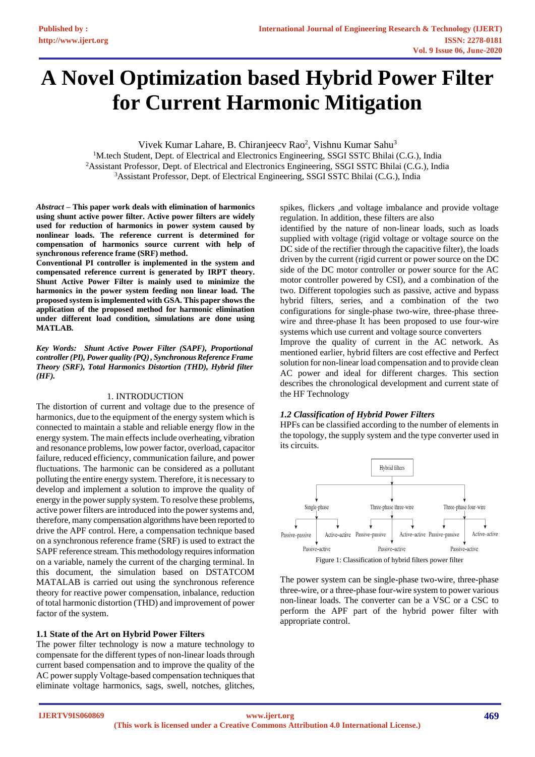# **A Novel Optimization based Hybrid Power Filter for Current Harmonic Mitigation**

Vivek Kumar Lahare, B. Chiranjeecv Rao<sup>2</sup>, Vishnu Kumar Sahu<sup>3</sup>

<sup>1</sup>M.tech Student, Dept. of Electrical and Electronics Engineering, SSGI SSTC Bhilai (C.G.), India <sup>2</sup>Assistant Professor, Dept. of Electrical and Electronics Engineering, SSGI SSTC Bhilai (C.G.), India <sup>3</sup>Assistant Professor, Dept. of Electrical Engineering, SSGI SSTC Bhilai (C.G.), India

*Abstract* **– This paper work deals with elimination of harmonics using shunt active power filter. Active power filters are widely used for reduction of harmonics in power system caused by nonlinear loads. The reference current is determined for compensation of harmonics source current with help of synchronous reference frame (SRF) method.**

**Conventional PI controller is implemented in the system and compensated reference current is generated by IRPT theory. Shunt Active Power Filter is mainly used to minimize the harmonics in the power system feeding non linear load. The proposed system isimplemented with GSA. This paper shows the application of the proposed method for harmonic elimination under different load condition, simulations are done using MATLAB.**

*Key Words: Shunt Active Power Filter (SAPF), Proportional controller (PI), Power quality (PQ) , Synchronous Reference Frame Theory (SRF), Total Harmonics Distortion (THD), Hybrid filter (HF).*

#### 1. INTRODUCTION

The distortion of current and voltage due to the presence of harmonics, due to the equipment of the energy system which is connected to maintain a stable and reliable energy flow in the energy system. The main effects include overheating, vibration and resonance problems, low power factor, overload, capacitor failure, reduced efficiency, communication failure, and power fluctuations. The harmonic can be considered as a pollutant polluting the entire energy system. Therefore, it is necessary to develop and implement a solution to improve the quality of energy in the power supply system. To resolve these problems, active power filters are introduced into the power systems and, therefore, many compensation algorithms have been reported to drive the APF control. Here, a compensation technique based on a synchronous reference frame (SRF) is used to extract the SAPF reference stream. This methodology requires information on a variable, namely the current of the charging terminal. In this document, the simulation based on DSTATCOM MATALAB is carried out using the synchronous reference theory for reactive power compensation, inbalance, reduction of total harmonic distortion (THD) and improvement of power factor of the system.

# **1.1 State of the Art on Hybrid Power Filters**

The power filter technology is now a mature technology to compensate for the different types of non-linear loads through current based compensation and to improve the quality of the AC power supply Voltage-based compensation techniques that eliminate voltage harmonics, sags, swell, notches, glitches,

spikes, flickers ,and voltage imbalance and provide voltage regulation. In addition, these filters are also

identified by the nature of non-linear loads, such as loads supplied with voltage (rigid voltage or voltage source on the DC side of the rectifier through the capacitive filter), the loads driven by the current (rigid current or power source on the DC side of the DC motor controller or power source for the AC motor controller powered by CSI), and a combination of the two. Different topologies such as passive, active and bypass hybrid filters, series, and a combination of the two configurations for single-phase two-wire, three-phase threewire and three-phase It has been proposed to use four-wire systems which use current and voltage source converters

Improve the quality of current in the AC network. As mentioned earlier, hybrid filters are cost effective and Perfect solution for non-linear load compensation and to provide clean AC power and ideal for different charges. This section describes the chronological development and current state of the HF Technology

# *1.2 Classification of Hybrid Power Filters*

HPFs can be classified according to the number of elements in the topology, the supply system and the type converter used in its circuits.



The power system can be single-phase two-wire, three-phase three-wire, or a three-phase four-wire system to power various non-linear loads. The converter can be a VSC or a CSC to perform the APF part of the hybrid power filter with appropriate control.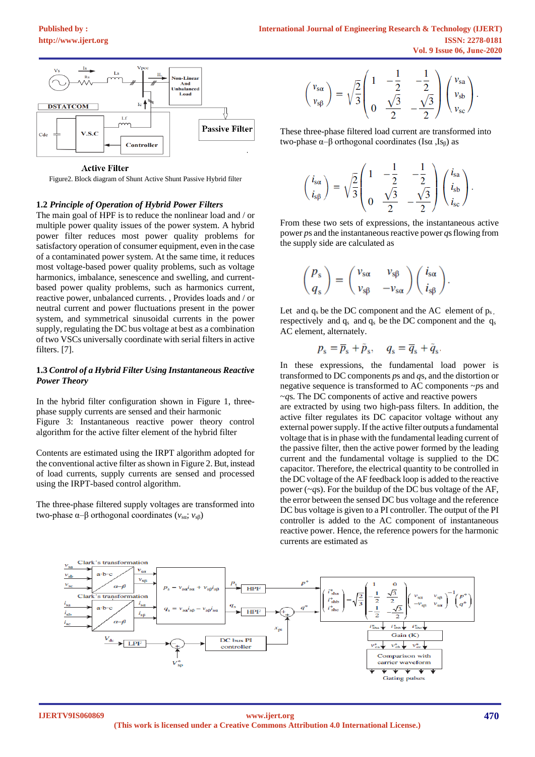

**Active Filter** 

Figure2. Block diagram of Shunt Active Shunt Passive Hybrid filter

#### **1.2** *Principle of Operation of Hybrid Power Filters*

The main goal of HPF is to reduce the nonlinear load and / or multiple power quality issues of the power system. A hybrid power filter reduces most power quality problems for satisfactory operation of consumer equipment, even in the case of a contaminated power system. At the same time, it reduces most voltage-based power quality problems, such as voltage harmonics, imbalance, senescence and swelling, and currentbased power quality problems, such as harmonics current, reactive power, unbalanced currents. , Provides loads and / or neutral current and power fluctuations present in the power system, and symmetrical sinusoidal currents in the power supply, regulating the DC bus voltage at best as a combination of two VSCs universally coordinate with serial filters in active filters. [7].

#### **1.3** *Control of a Hybrid Filter Using Instantaneous Reactive Power Theory*

In the hybrid filter configuration shown in Figure 1, threephase supply currents are sensed and their harmonic Figure 3: Instantaneous reactive power theory control algorithm for the active filter element of the hybrid filter

Contents are estimated using the IRPT algorithm adopted for the conventional active filter asshown in Figure 2. But, instead of load currents, supply currents are sensed and processed using the IRPT-based control algorithm.

The three-phase filtered supply voltages are transformed into two-phase  $\alpha$ –β orthogonal coordinates ( $v_{\text{sa}}$ ;  $v_{\text{sb}}$ )

$$
\binom{\nu_{s\alpha}}{\nu_{s\beta}}=\sqrt{\frac{2}{3}}\!\!\left(\!\begin{array}{ccc}1&-\frac{1}{2}&-\frac{1}{2}\\0&\frac{\sqrt{3}}{2}&-\frac{\sqrt{3}}{2}\end{array}\!\right)\!\left(\!\begin{array}{c}\nu_{s\alpha}\\ \nu_{s b}\\ \nu_{s c}\end{array}\!\right).
$$

These three-phase filtered load current are transformed into two-phase  $\alpha$ -β orthogonal coordinates (Isα, Is<sub>β</sub>) as

$$
\begin{pmatrix} i_{\rm s\alpha} \\ i_{\rm s\beta} \end{pmatrix} = \sqrt{\frac{2}{3}} \begin{pmatrix} 1 & -\frac{1}{2} & -\frac{1}{2} \\ 0 & \frac{\sqrt{3}}{2} & -\frac{\sqrt{3}}{2} \end{pmatrix} \begin{pmatrix} i_{\rm sa} \\ i_{\rm sb} \\ i_{\rm sc} \end{pmatrix}.
$$

From these two sets of expressions, the instantaneous active power *p*s and the instantaneous reactive power *q*s flowing from the supply side are calculated as

$$
\begin{pmatrix} P_s \\ q_s \end{pmatrix} = \begin{pmatrix} v_{s\alpha} & v_{s\beta} \\ v_{s\beta} & -v_{s\alpha} \end{pmatrix} \begin{pmatrix} i_{s\alpha} \\ i_{s\beta} \end{pmatrix}.
$$

Let and  $q_s$  be the DC component and the AC element of  $p_s$ , respectively and  $q_s$  and  $q_s$  be the DC component and the  $q_s$ AC element, alternately.

$$
p_{\rm s} = \overline{p}_{\rm s} + \tilde{p}_{\rm s}, \quad q_{\rm s} = \overline{q}_{\rm s} + \tilde{q}_{\rm s}.
$$

In these expressions, the fundamental load power is transformed to DC components *p*s and *q*s, and the distortion or negative sequence is transformed to AC components ~*p*s and ~*q*s. The DC components of active and reactive powers

are extracted by using two high-pass filters. In addition, the active filter regulates its DC capacitor voltage without any external power supply. If the active filter outputs a fundamental voltage that is in phase with the fundamental leading current of the passive filter, then the active power formed by the leading current and the fundamental voltage is supplied to the DC capacitor. Therefore, the electrical quantity to be controlled in the DC voltage of the AF feedback loop is added to the reactive power (~*q*s). For the buildup of the DC bus voltage of the AF, the error between the sensed DC bus voltage and the reference DC bus voltage is given to a PI controller. The output of the PI controller is added to the AC component of instantaneous reactive power. Hence, the reference powers for the harmonic currents are estimated as

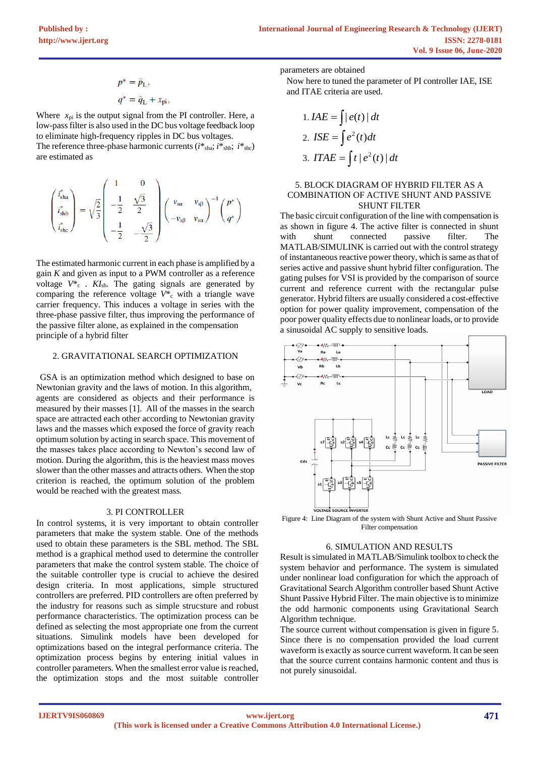$$
p^* = p_L,
$$
  

$$
q^* = \tilde{q}_L + x_{pi},
$$

Where  $x_{pi}$  is the output signal from the PI controller. Here, a low-pass filter is also used in the DC bus voltage feedback loop to eliminate high-frequency ripples in DC bus voltages. The reference three-phase harmonic currents  $(i^*_{sha}; i^*_{shb}; i^*_{shc})$ are estimated as

$$
\begin{pmatrix} i_{\rm sha}^* \\ i_{\rm shb}^* \\ i_{\rm she}^* \end{pmatrix} = \sqrt{\frac{2}{3}} \begin{pmatrix} 1 & 0 \\ -\frac{1}{2} & \frac{\sqrt{3}}{2} \\ -\frac{1}{2} & -\frac{\sqrt{3}}{2} \end{pmatrix} \begin{pmatrix} v_{\rm sca} & v_{\rm sf} \\ -v_{\rm sf} & v_{\rm sg} \end{pmatrix}^{-1} \begin{pmatrix} p^* \\ q^* \end{pmatrix}
$$

The estimated harmonic current in each phase is amplified by a gain *K* and given as input to a PWM controller as a reference voltage  $V^*$ <sub>c</sub> .  $KI$ <sub>sh</sub>. The gating signals are generated by comparing the reference voltage  $V^*$ <sub>c</sub> with a triangle wave carrier frequency. This induces a voltage in series with the three-phase passive filter, thus improving the performance of the passive filter alone, as explained in the compensation principle of a hybrid filter

# 2. GRAVITATIONAL SEARCH OPTIMIZATION

 GSA is an optimization method which designed to base on Newtonian gravity and the laws of motion. In this algorithm, agents are considered as objects and their performance is measured by their masses [1]. All of the masses in the search space are attracted each other according to Newtonian gravity laws and the masses which exposed the force of gravity reach optimum solution by acting in search space. This movement of the masses takes place according to Newton's second law of motion. During the algorithm, this is the heaviest mass moves slower than the other masses and attracts others. When the stop criterion is reached, the optimum solution of the problem would be reached with the greatest mass.

#### 3. PI CONTROLLER

In control systems, it is very important to obtain controller parameters that make the system stable. One of the methods used to obtain these parameters is the SBL method. The SBL method is a graphical method used to determine the controller parameters that make the control system stable. The choice of the suitable controller type is crucial to achieve the desired design criteria. In most applications, simple structured controllers are preferred. PID controllers are often preferred by the industry for reasons such as simple strucsture and robust performance characteristics. The optimization process can be defined as selecting the most appropriate one from the current situations. Simulink models have been developed for optimizations based on the integral performance criteria. The optimization process begins by entering initial values in controller parameters. When the smallest error value is reached, the optimization stops and the most suitable controller parameters are obtained

Now here to tuned the parameter of PI controller IAE, ISE and ITAE criteria are used.

1. 
$$
IAE = \int |e(t)| dt
$$
  
2. 
$$
ISE = \int e^{2}(t) dt
$$
  
3. 
$$
ITAE = \int t |e^{2}(t)| dt
$$

# 5. BLOCK DIAGRAM OF HYBRID FILTER AS A COMBINATION OF ACTIVE SHUNT AND PASSIVE SHUNT FILTER

The basic circuit configuration of the line with compensation is as shown in figure 4. The active filter is connected in shunt with shunt connected passive filter. The MATLAB/SIMULINK is carried out with the control strategy of instantaneous reactive power theory, which is same as that of series active and passive shunt hybrid filter configuration. The gating pulses for VSI is provided by the comparison of source current and reference current with the rectangular pulse generator. Hybrid filters are usually considered a cost-effective option for power quality improvement, compensation of the poor power quality effects due to nonlinear loads, or to provide a sinusoidal AC supply to sensitive loads.





#### 6. SIMULATION AND RESULTS

Result is simulated in MATLAB/Simulink toolbox to check the system behavior and performance. The system is simulated under nonlinear load configuration for which the approach of Gravitational Search Algorithm controller based Shunt Active Shunt Passive Hybrid Filter. The main objective is to minimize the odd harmonic components using Gravitational Search Algorithm technique.

The source current without compensation is given in figure 5. Since there is no compensation provided the load current waveform is exactly as source current waveform. It can be seen that the source current contains harmonic content and thus is not purely sinusoidal.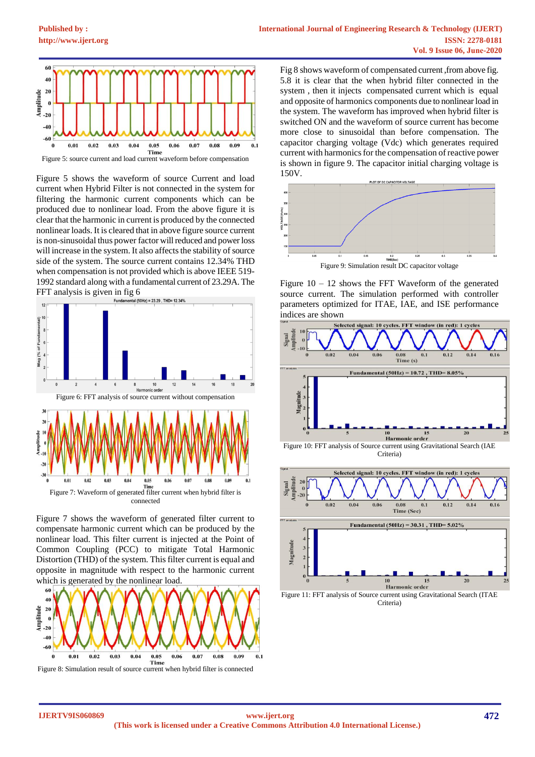

Figure 5: source current and load current waveform before compensation

Figure 5 shows the waveform of source Current and load current when Hybrid Filter is not connected in the system for filtering the harmonic current components which can be produced due to nonlinear load. From the above figure it is clear that the harmonic in current is produced by the connected nonlinear loads. It is cleared that in above figure source current is non-sinusoidal thus power factor will reduced and power loss will increase in the system. It also affects the stability of source side of the system. The source current contains 12.34% THD when compensation is not provided which is above IEEE 519- 1992 standard along with a fundamental current of 23.29A. The FFT analysis is given in fig  $6$ <br>Fundamental (50Hz) = 23.29, THD= 12.34%



Figure 7 shows the waveform of generated filter current to compensate harmonic current which can be produced by the nonlinear load. This filter current is injected at the Point of Common Coupling (PCC) to mitigate Total Harmonic Distortion (THD) of the system. This filter current is equal and opposite in magnitude with respect to the harmonic current which is generated by the nonlinear load.



Fig 8 shows waveform of compensated current ,from above fig. 5.8 it is clear that the when hybrid filter connected in the system , then it injects compensated current which is equal and opposite of harmonics components due to nonlinear load in the system. The waveform has improved when hybrid filter is switched ON and the waveform of source current has become more close to sinusoidal than before compensation. The capacitor charging voltage (Vdc) which generates required current with harmonics for the compensation of reactive power is shown in figure 9. The capacitor initial charging voltage is 150V.



Figure  $10 - 12$  shows the FFT Waveform of the generated source current. The simulation performed with controller parameters optimized for ITAE, IAE, and ISE performance indices are shown